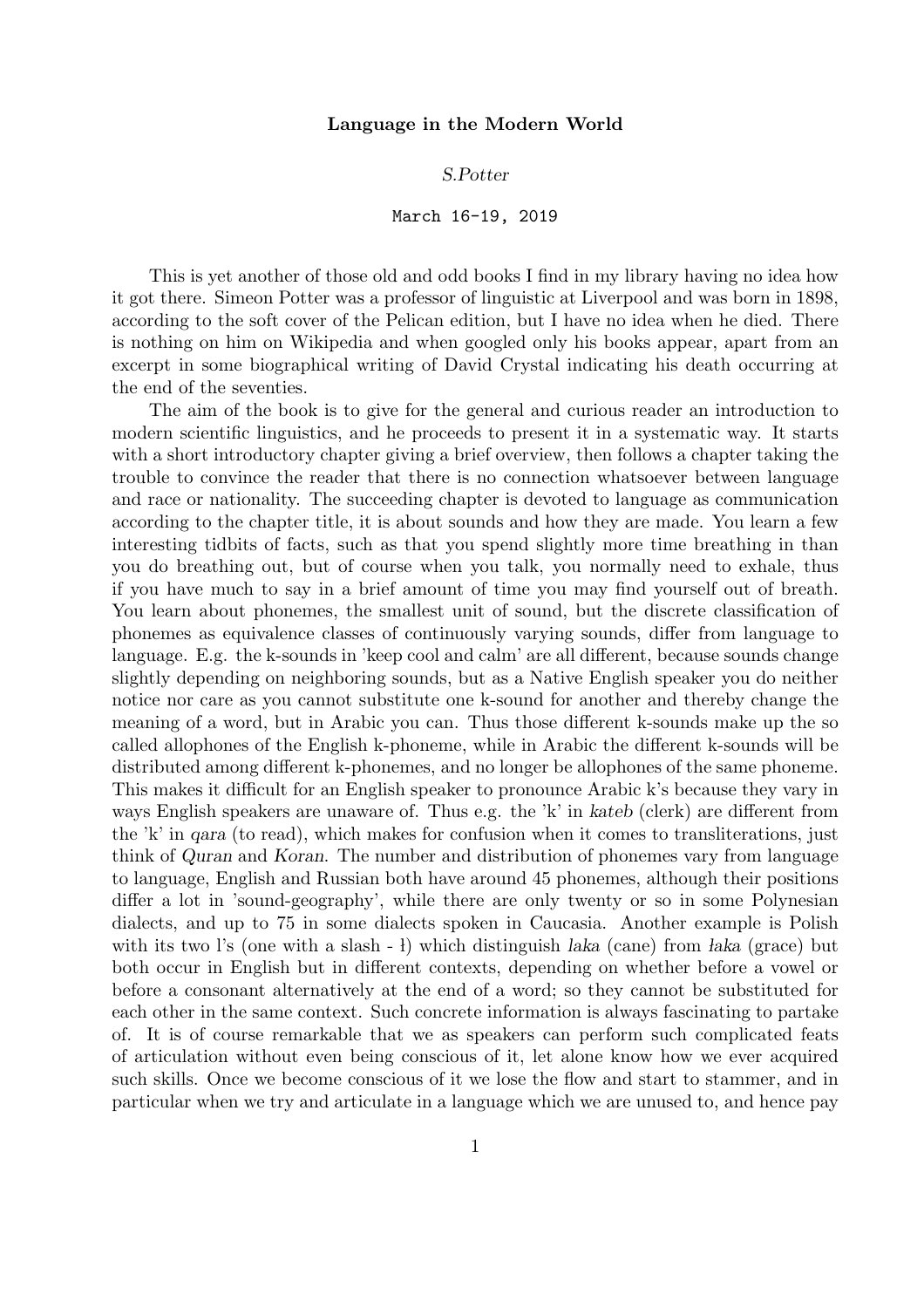## S.Potter

## March 16-19, 2019

This is yet another of those old and odd books I find in my library having no idea how it got there. Simeon Potter was a professor of linguistic at Liverpool and was born in 1898, according to the soft cover of the Pelican edition, but I have no idea when he died. There is nothing on him on Wikipedia and when googled only his books appear, apart from an excerpt in some biographical writing of David Crystal indicating his death occurring at the end of the seventies.

The aim of the book is to give for the general and curious reader an introduction to modern scientific linguistics, and he proceeds to present it in a systematic way. It starts with a short introductory chapter giving a brief overview, then follows a chapter taking the trouble to convince the reader that there is no connection whatsoever between language and race or nationality. The succeeding chapter is devoted to language as communication according to the chapter title, it is about sounds and how they are made. You learn a few interesting tidbits of facts, such as that you spend slightly more time breathing in than you do breathing out, but of course when you talk, you normally need to exhale, thus if you have much to say in a brief amount of time you may find yourself out of breath. You learn about phonemes, the smallest unit of sound, but the discrete classification of phonemes as equivalence classes of continuously varying sounds, differ from language to language. E.g. the k-sounds in 'keep cool and calm' are all different, because sounds change slightly depending on neighboring sounds, but as a Native English speaker you do neither notice nor care as you cannot substitute one k-sound for another and thereby change the meaning of a word, but in Arabic you can. Thus those different k-sounds make up the so called allophones of the English k-phoneme, while in Arabic the different k-sounds will be distributed among different k-phonemes, and no longer be allophones of the same phoneme. This makes it difficult for an English speaker to pronounce Arabic k's because they vary in ways English speakers are unaware of. Thus e.g. the 'k' in kateb (clerk) are different from the 'k' in qara (to read), which makes for confusion when it comes to transliterations, just think of Quran and Koran. The number and distribution of phonemes vary from language to language, English and Russian both have around 45 phonemes, although their positions differ a lot in 'sound-geography', while there are only twenty or so in some Polynesian dialects, and up to 75 in some dialects spoken in Caucasia. Another example is Polish with its two l's (one with a slash  $-1$ ) which distinguish laka (cane) from laka (grace) but both occur in English but in different contexts, depending on whether before a vowel or before a consonant alternatively at the end of a word; so they cannot be substituted for each other in the same context. Such concrete information is always fascinating to partake of. It is of course remarkable that we as speakers can perform such complicated feats of articulation without even being conscious of it, let alone know how we ever acquired such skills. Once we become conscious of it we lose the flow and start to stammer, and in particular when we try and articulate in a language which we are unused to, and hence pay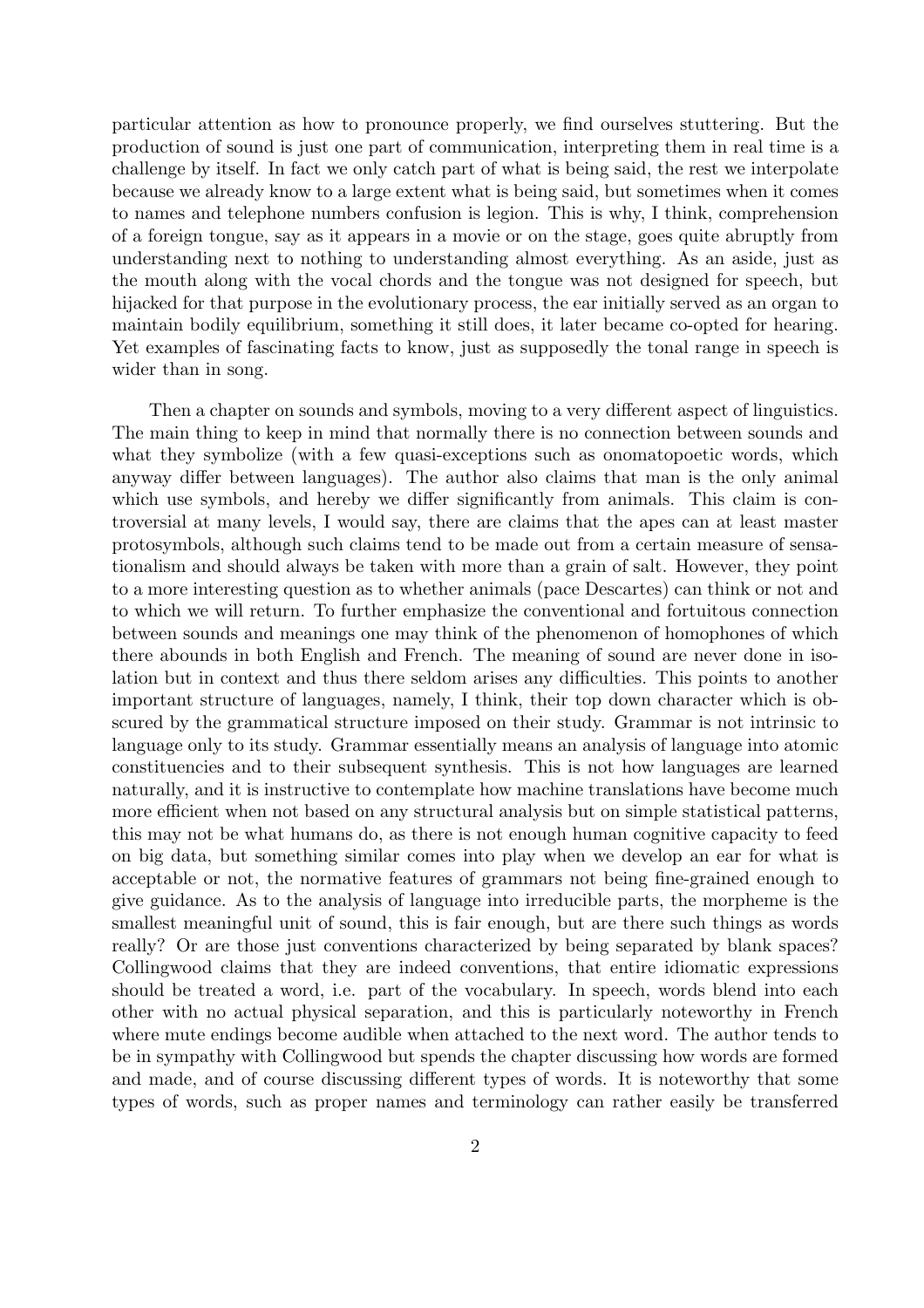particular attention as how to pronounce properly, we find ourselves stuttering. But the production of sound is just one part of communication, interpreting them in real time is a challenge by itself. In fact we only catch part of what is being said, the rest we interpolate because we already know to a large extent what is being said, but sometimes when it comes to names and telephone numbers confusion is legion. This is why, I think, comprehension of a foreign tongue, say as it appears in a movie or on the stage, goes quite abruptly from understanding next to nothing to understanding almost everything. As an aside, just as the mouth along with the vocal chords and the tongue was not designed for speech, but hijacked for that purpose in the evolutionary process, the ear initially served as an organ to maintain bodily equilibrium, something it still does, it later became co-opted for hearing. Yet examples of fascinating facts to know, just as supposedly the tonal range in speech is wider than in song.

Then a chapter on sounds and symbols, moving to a very different aspect of linguistics. The main thing to keep in mind that normally there is no connection between sounds and what they symbolize (with a few quasi-exceptions such as onomatopoetic words, which anyway differ between languages). The author also claims that man is the only animal which use symbols, and hereby we differ significantly from animals. This claim is controversial at many levels, I would say, there are claims that the apes can at least master protosymbols, although such claims tend to be made out from a certain measure of sensationalism and should always be taken with more than a grain of salt. However, they point to a more interesting question as to whether animals (pace Descartes) can think or not and to which we will return. To further emphasize the conventional and fortuitous connection between sounds and meanings one may think of the phenomenon of homophones of which there abounds in both English and French. The meaning of sound are never done in isolation but in context and thus there seldom arises any difficulties. This points to another important structure of languages, namely, I think, their top down character which is obscured by the grammatical structure imposed on their study. Grammar is not intrinsic to language only to its study. Grammar essentially means an analysis of language into atomic constituencies and to their subsequent synthesis. This is not how languages are learned naturally, and it is instructive to contemplate how machine translations have become much more efficient when not based on any structural analysis but on simple statistical patterns, this may not be what humans do, as there is not enough human cognitive capacity to feed on big data, but something similar comes into play when we develop an ear for what is acceptable or not, the normative features of grammars not being fine-grained enough to give guidance. As to the analysis of language into irreducible parts, the morpheme is the smallest meaningful unit of sound, this is fair enough, but are there such things as words really? Or are those just conventions characterized by being separated by blank spaces? Collingwood claims that they are indeed conventions, that entire idiomatic expressions should be treated a word, i.e. part of the vocabulary. In speech, words blend into each other with no actual physical separation, and this is particularly noteworthy in French where mute endings become audible when attached to the next word. The author tends to be in sympathy with Collingwood but spends the chapter discussing how words are formed and made, and of course discussing different types of words. It is noteworthy that some types of words, such as proper names and terminology can rather easily be transferred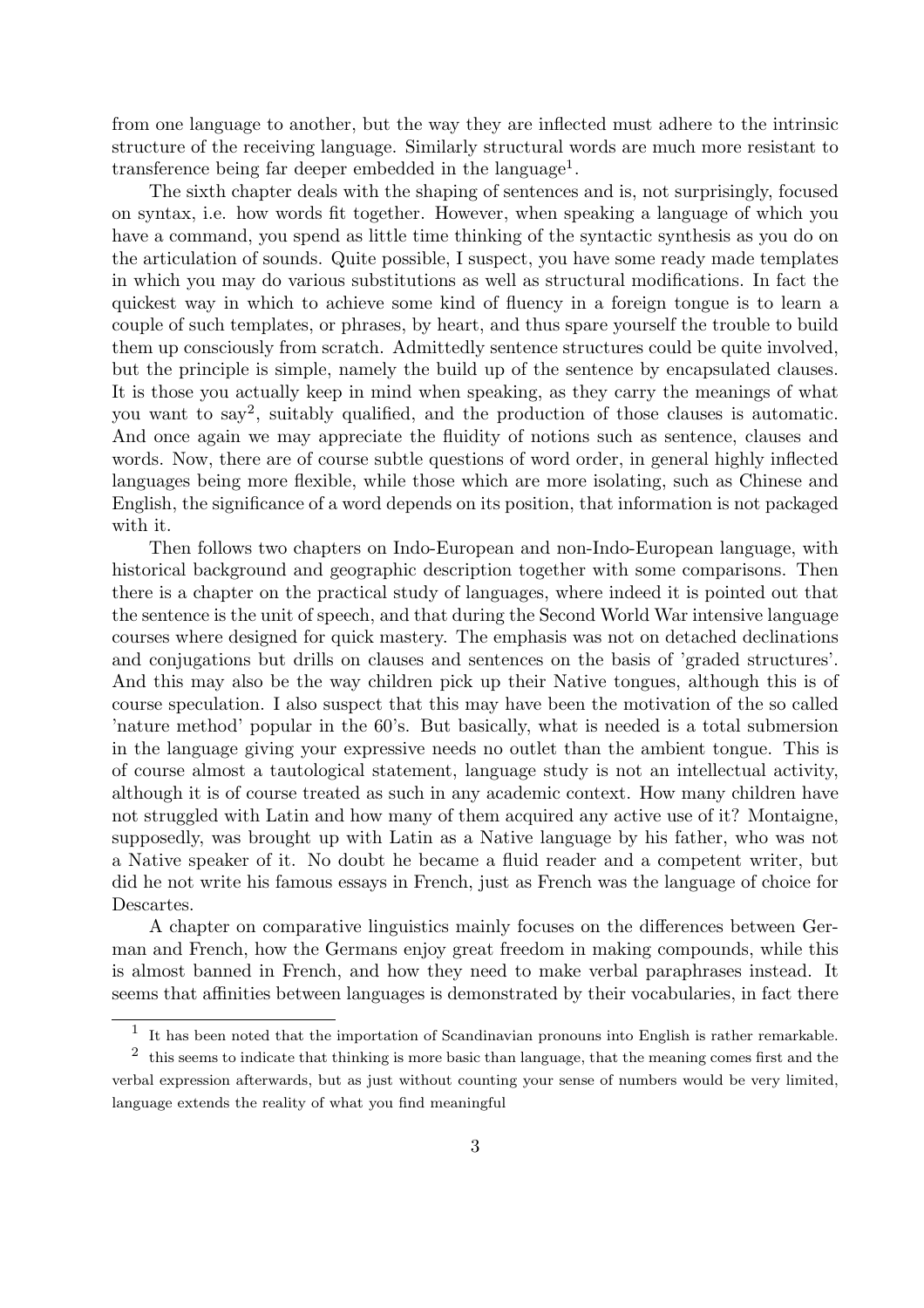from one language to another, but the way they are inflected must adhere to the intrinsic structure of the receiving language. Similarly structural words are much more resistant to transference being far deeper embedded in the language<sup>1</sup>.

The sixth chapter deals with the shaping of sentences and is, not surprisingly, focused on syntax, i.e. how words fit together. However, when speaking a language of which you have a command, you spend as little time thinking of the syntactic synthesis as you do on the articulation of sounds. Quite possible, I suspect, you have some ready made templates in which you may do various substitutions as well as structural modifications. In fact the quickest way in which to achieve some kind of fluency in a foreign tongue is to learn a couple of such templates, or phrases, by heart, and thus spare yourself the trouble to build them up consciously from scratch. Admittedly sentence structures could be quite involved, but the principle is simple, namely the build up of the sentence by encapsulated clauses. It is those you actually keep in mind when speaking, as they carry the meanings of what you want to say<sup>2</sup> , suitably qualified, and the production of those clauses is automatic. And once again we may appreciate the fluidity of notions such as sentence, clauses and words. Now, there are of course subtle questions of word order, in general highly inflected languages being more flexible, while those which are more isolating, such as Chinese and English, the significance of a word depends on its position, that information is not packaged with it.

Then follows two chapters on Indo-European and non-Indo-European language, with historical background and geographic description together with some comparisons. Then there is a chapter on the practical study of languages, where indeed it is pointed out that the sentence is the unit of speech, and that during the Second World War intensive language courses where designed for quick mastery. The emphasis was not on detached declinations and conjugations but drills on clauses and sentences on the basis of 'graded structures'. And this may also be the way children pick up their Native tongues, although this is of course speculation. I also suspect that this may have been the motivation of the so called 'nature method' popular in the 60's. But basically, what is needed is a total submersion in the language giving your expressive needs no outlet than the ambient tongue. This is of course almost a tautological statement, language study is not an intellectual activity, although it is of course treated as such in any academic context. How many children have not struggled with Latin and how many of them acquired any active use of it? Montaigne, supposedly, was brought up with Latin as a Native language by his father, who was not a Native speaker of it. No doubt he became a fluid reader and a competent writer, but did he not write his famous essays in French, just as French was the language of choice for Descartes.

A chapter on comparative linguistics mainly focuses on the differences between German and French, how the Germans enjoy great freedom in making compounds, while this is almost banned in French, and how they need to make verbal paraphrases instead. It seems that affinities between languages is demonstrated by their vocabularies, in fact there

<sup>&</sup>lt;sup>1</sup> It has been noted that the importation of Scandinavian pronouns into English is rather remarkable.

<sup>&</sup>lt;sup>2</sup> this seems to indicate that thinking is more basic than language, that the meaning comes first and the verbal expression afterwards, but as just without counting your sense of numbers would be very limited, language extends the reality of what you find meaningful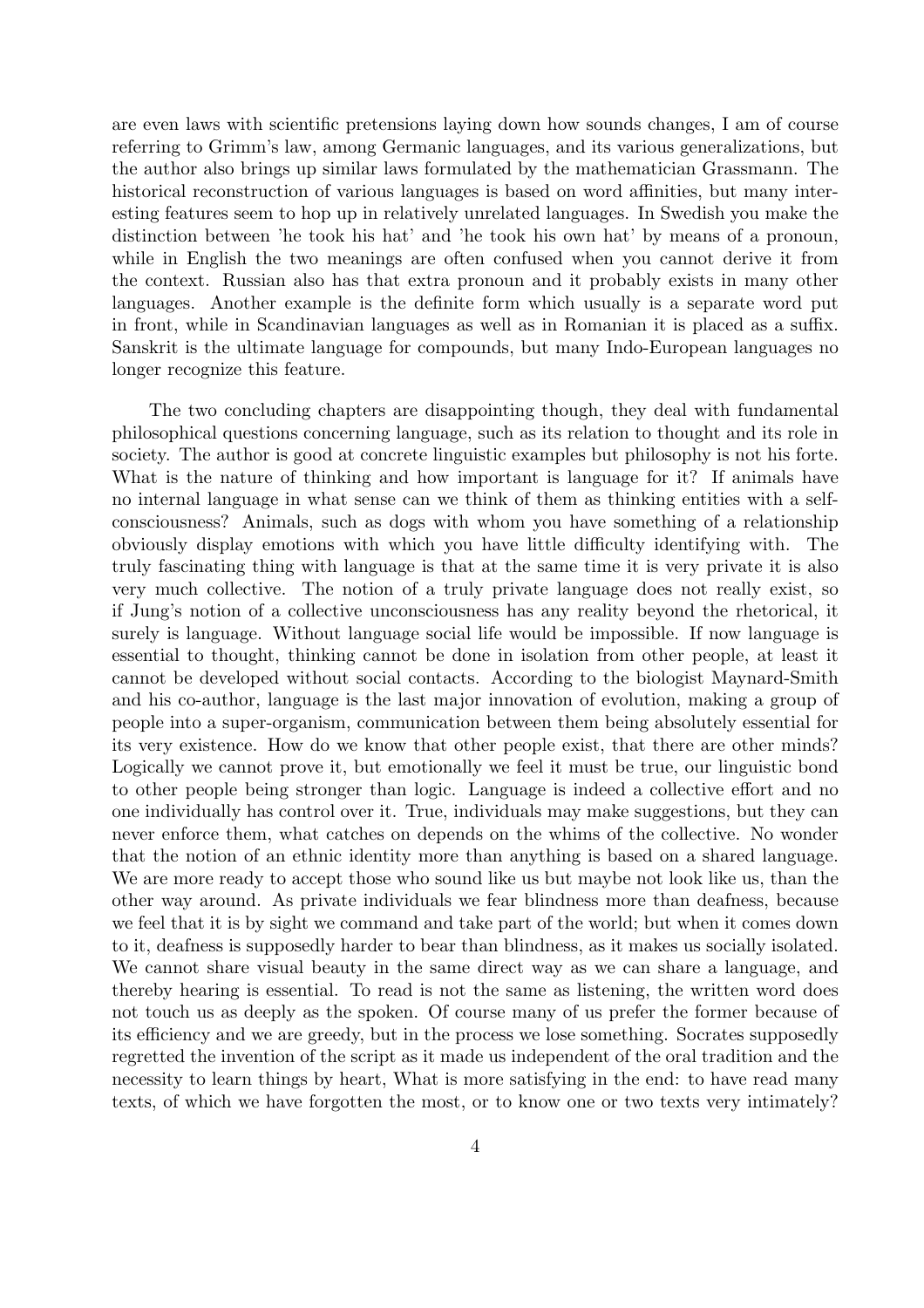are even laws with scientific pretensions laying down how sounds changes, I am of course referring to Grimm's law, among Germanic languages, and its various generalizations, but the author also brings up similar laws formulated by the mathematician Grassmann. The historical reconstruction of various languages is based on word affinities, but many interesting features seem to hop up in relatively unrelated languages. In Swedish you make the distinction between 'he took his hat' and 'he took his own hat' by means of a pronoun, while in English the two meanings are often confused when you cannot derive it from the context. Russian also has that extra pronoun and it probably exists in many other languages. Another example is the definite form which usually is a separate word put in front, while in Scandinavian languages as well as in Romanian it is placed as a suffix. Sanskrit is the ultimate language for compounds, but many Indo-European languages no longer recognize this feature.

The two concluding chapters are disappointing though, they deal with fundamental philosophical questions concerning language, such as its relation to thought and its role in society. The author is good at concrete linguistic examples but philosophy is not his forte. What is the nature of thinking and how important is language for it? If animals have no internal language in what sense can we think of them as thinking entities with a selfconsciousness? Animals, such as dogs with whom you have something of a relationship obviously display emotions with which you have little difficulty identifying with. The truly fascinating thing with language is that at the same time it is very private it is also very much collective. The notion of a truly private language does not really exist, so if Jung's notion of a collective unconsciousness has any reality beyond the rhetorical, it surely is language. Without language social life would be impossible. If now language is essential to thought, thinking cannot be done in isolation from other people, at least it cannot be developed without social contacts. According to the biologist Maynard-Smith and his co-author, language is the last major innovation of evolution, making a group of people into a super-organism, communication between them being absolutely essential for its very existence. How do we know that other people exist, that there are other minds? Logically we cannot prove it, but emotionally we feel it must be true, our linguistic bond to other people being stronger than logic. Language is indeed a collective effort and no one individually has control over it. True, individuals may make suggestions, but they can never enforce them, what catches on depends on the whims of the collective. No wonder that the notion of an ethnic identity more than anything is based on a shared language. We are more ready to accept those who sound like us but maybe not look like us, than the other way around. As private individuals we fear blindness more than deafness, because we feel that it is by sight we command and take part of the world; but when it comes down to it, deafness is supposedly harder to bear than blindness, as it makes us socially isolated. We cannot share visual beauty in the same direct way as we can share a language, and thereby hearing is essential. To read is not the same as listening, the written word does not touch us as deeply as the spoken. Of course many of us prefer the former because of its efficiency and we are greedy, but in the process we lose something. Socrates supposedly regretted the invention of the script as it made us independent of the oral tradition and the necessity to learn things by heart, What is more satisfying in the end: to have read many texts, of which we have forgotten the most, or to know one or two texts very intimately?